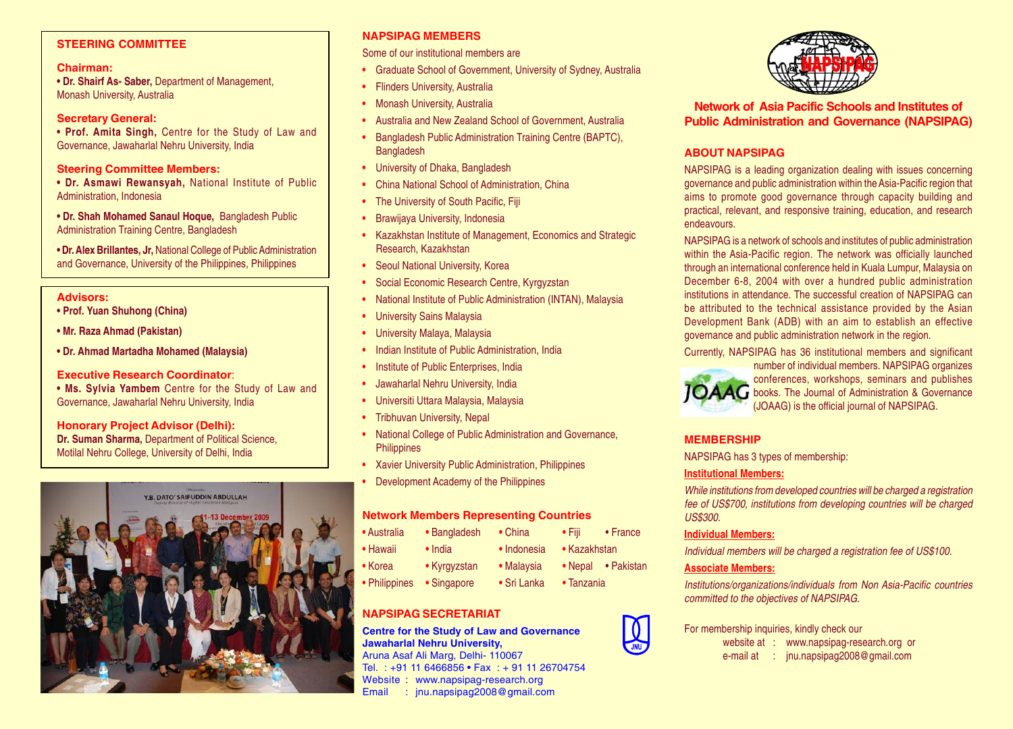# **STEERING COMMITTEE**

### **Chairman:**

**• Dr. Shairf As- Saber,** Department of Management, Monash University, Australia

## **Secretary General:**

**• Prof. Amita Singh,** Centre for the Study of Law and Governance, Jawaharlal Nehru University, India

### **Steering Committee Members:**

**• Dr. Asmawi Rewansyah,** National Institute of Public Administration, Indonesia

**• Dr. Shah Mohamed Sanaul Hoque,** Bangladesh Public Administration Training Centre, Bangladesh

**• Dr. Alex Brillantes, Jr,** National College of Public Administration and Governance, University of the Philippines, Philippines

#### **Advisors:**

- **Prof. Yuan Shuhong (China)**
- **Mr. Raza Ahmad (Pakistan)**
- **Dr. Ahmad Martadha Mohamed (Malaysia)**

#### **Executive Research Coordinator**:

**• Ms. Sylvia Yambem** Centre for the Study of Law and Governance, Jawaharlal Nehru University, India

### **Honorary Project Advisor (Delhi):**

**Dr. Suman Sharma,** Department of Political Science, Motilal Nehru College, University of Delhi, India



# **NAPSIPAG MEMBERS**

Some of our institutional members are

- **•** Graduate School of Government, University of Sydney, Australia
- **•** Flinders University, Australia
- **•** Monash University, Australia
- **•** Australia and New Zealand School of Government, Australia
- **•** Bangladesh Public Administration Training Centre (BAPTC), **Bangladesh**
- **•** University of Dhaka, Bangladesh
- **•** China National School of Administration, China
- **•** The University of South Pacific, Fiji
- **•** Brawijaya University, Indonesia
- **•** Kazakhstan Institute of Management, Economics and Strategic Research, Kazakhstan
- **•** Seoul National University, Korea
- **•** Social Economic Research Centre, Kyrgyzstan
- **•** National Institute of Public Administration (INTAN), Malaysia
- **•** University Sains Malaysia
- **•** University Malaya, Malaysia
- **•** Indian Institute of Public Administration, India
- **•** Institute of Public Enterprises, India
- **•** Jawaharlal Nehru University, India
- **•** Universiti Uttara Malaysia, Malaysia
- **•** Tribhuvan University, Nepal
- **•** National College of Public Administration and Governance, **Philippines**
- **•** Xavier University Public Administration, Philippines
- **•** Development Academy of the Philippines

#### **Network Members Representing Countries**

| • Australia   | • Bangladesh    | $\bullet$ China | $\bullet$ Fiii | $\bullet$ France |
|---------------|-----------------|-----------------|----------------|------------------|
| • Hawaii      | $\bullet$ India | • Indonesia     | • Kazakhstan   |                  |
| • Korea       | • Kyrgyzstan    | • Malaysia      | • Nepal        | • Pakistan       |
| • Philippines | • Singapore     | • Sri Lanka     | • Tanzania     |                  |

# **NAPSIPAG SECRETARIAT**

**Centre for the Study of Law and Governance Jawaharlal Nehru University,** Aruna Asaf Ali Marg, Delhi- 110067

Tel. : +91 11 6466856 • Fax : + 91 11 26704754 Website : www.napsipag-research.org Email : jnu.napsipag2008@gmail.com



**Network of Asia Pacific Schools and Institutes of Public Administration and Governance (NAPSIPAG)**

# **ABOUT NAPSIPAG**

NAPSIPAG is a leading organization dealing with issues concerning governance and public administration within the Asia-Pacific region that aims to promote good governance through capacity building and practical, relevant, and responsive training, education, and research endeavours.

NAPSIPAG is a network of schools and institutes of public administration within the Asia-Pacific region. The network was officially launched through an international conference held in Kuala Lumpur, Malaysia on December 6-8, 2004 with over a hundred public administration institutions in attendance. The successful creation of NAPSIPAG can be attributed to the technical assistance provided by the Asian Development Bank (ADB) with an aim to establish an effective governance and public administration network in the region.

Currently, NAPSIPAG has 36 institutional members and significant



number of individual members. NAPSIPAG organizes conferences, workshops, seminars and publishes  $\overline{A}\overline{A}$  books. The Journal of Administration & Governance (JOAAG) is the official journal of NAPSIPAG.

# **MEMBERSHIP**

NAPSIPAG has 3 types of membership:

#### **Institutional Members:**

*While institutions from developed countries will be charged a registration fee of US\$700, institutions from developing countries will be charged US\$300.*

### **Individual Members:**

*Individual members will be charged a registration fee of US\$100.*

# **Associate Members:**

*Institutions/organizations/individuals from Non Asia-Pacific countries committed to the objectives of NAPSIPAG.*

### For membership inquiries, kindly check our

- website at : www.napsipag-research.org or
- e-mail at : jnu.napsipag2008@gmail.com